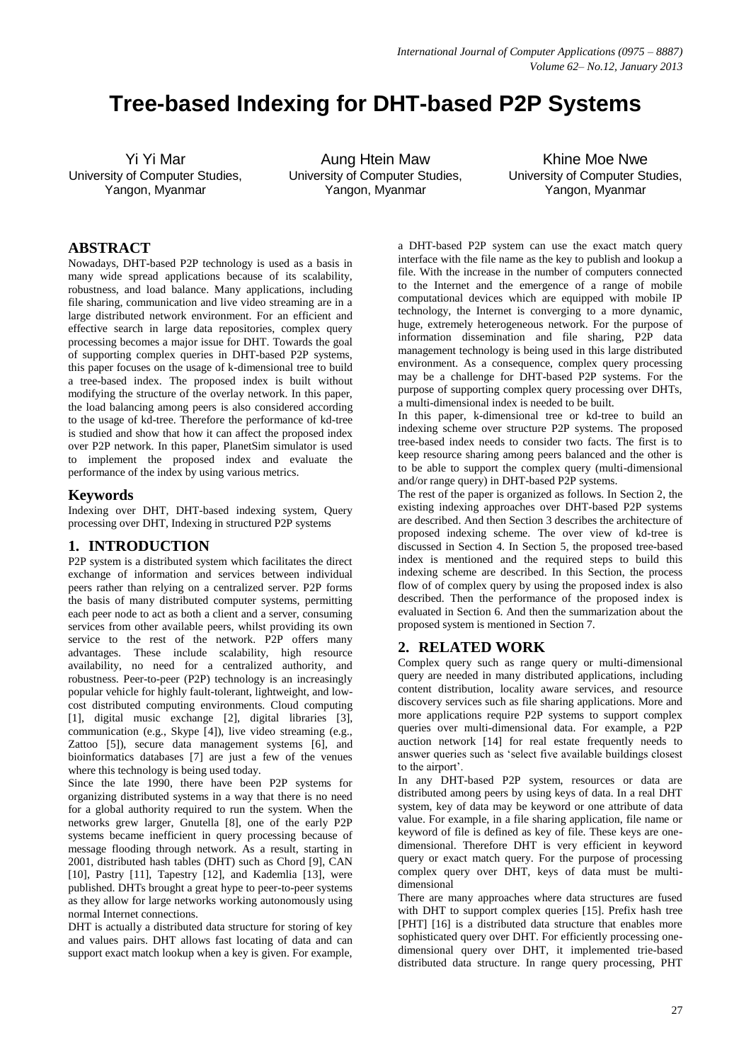# **Tree-based Indexing for DHT-based P2P Systems**

Yi Yi Mar University of Computer Studies, Yangon, Myanmar

Aung Htein Maw University of Computer Studies, Yangon, Myanmar

Khine Moe Nwe University of Computer Studies, Yangon, Myanmar

# **ABSTRACT**

Nowadays, DHT-based P2P technology is used as a basis in many wide spread applications because of its scalability, robustness, and load balance. Many applications, including file sharing, communication and live video streaming are in a large distributed network environment. For an efficient and effective search in large data repositories, complex query processing becomes a major issue for DHT. Towards the goal of supporting complex queries in DHT-based P2P systems, this paper focuses on the usage of k-dimensional tree to build a tree-based index. The proposed index is built without modifying the structure of the overlay network. In this paper, the load balancing among peers is also considered according to the usage of kd-tree. Therefore the performance of kd-tree is studied and show that how it can affect the proposed index over P2P network. In this paper, PlanetSim simulator is used to implement the proposed index and evaluate the performance of the index by using various metrics.

## **Keywords**

Indexing over DHT, DHT-based indexing system, Query processing over DHT, Indexing in structured P2P systems

# **1. INTRODUCTION**

P2P system is a distributed system which facilitates the direct exchange of information and services between individual peers rather than relying on a centralized server. P2P forms the basis of many distributed computer systems, permitting each peer node to act as both a client and a server, consuming services from other available peers, whilst providing its own service to the rest of the network. P2P offers many advantages. These include scalability, high resource availability, no need for a centralized authority, and robustness. Peer-to-peer (P2P) technology is an increasingly popular vehicle for highly fault-tolerant, lightweight, and lowcost distributed computing environments. Cloud computing [1], digital music exchange [2], digital libraries [3], communication (e.g., Skype [4]), live video streaming (e.g., Zattoo [5]), secure data management systems [6], and bioinformatics databases [7] are just a few of the venues where this technology is being used today.

Since the late 1990, there have been P2P systems for organizing distributed systems in a way that there is no need for a global authority required to run the system. When the networks grew larger, Gnutella [8], one of the early P2P systems became inefficient in query processing because of message flooding through network. As a result, starting in 2001, distributed hash tables (DHT) such as Chord [9], CAN [10], Pastry [11], Tapestry [12], and Kademlia [13], were published. DHTs brought a great hype to peer-to-peer systems as they allow for large networks working autonomously using normal Internet connections.

DHT is actually a distributed data structure for storing of key and values pairs. DHT allows fast locating of data and can support exact match lookup when a key is given. For example, a DHT-based P2P system can use the exact match query interface with the file name as the key to publish and lookup a file. With the increase in the number of computers connected to the Internet and the emergence of a range of mobile computational devices which are equipped with mobile IP technology, the Internet is converging to a more dynamic, huge, extremely heterogeneous network. For the purpose of information dissemination and file sharing, P2P data management technology is being used in this large distributed environment. As a consequence, complex query processing may be a challenge for DHT-based P2P systems. For the purpose of supporting complex query processing over DHTs, a multi-dimensional index is needed to be built.

In this paper, k-dimensional tree or kd-tree to build an indexing scheme over structure P2P systems. The proposed tree-based index needs to consider two facts. The first is to keep resource sharing among peers balanced and the other is to be able to support the complex query (multi-dimensional and/or range query) in DHT-based P2P systems.

The rest of the paper is organized as follows. In Section 2, the existing indexing approaches over DHT-based P2P systems are described. And then Section 3 describes the architecture of proposed indexing scheme. The over view of kd-tree is discussed in Section 4. In Section 5, the proposed tree-based index is mentioned and the required steps to build this indexing scheme are described. In this Section, the process flow of of complex query by using the proposed index is also described. Then the performance of the proposed index is evaluated in Section 6. And then the summarization about the proposed system is mentioned in Section 7.

# **2. RELATED WORK**

Complex query such as range query or multi-dimensional query are needed in many distributed applications, including content distribution, locality aware services, and resource discovery services such as file sharing applications. More and more applications require P2P systems to support complex queries over multi-dimensional data. For example, a P2P auction network [14] for real estate frequently needs to answer queries such as 'select five available buildings closest to the airport'.

In any DHT-based P2P system, resources or data are distributed among peers by using keys of data. In a real DHT system, key of data may be keyword or one attribute of data value. For example, in a file sharing application, file name or keyword of file is defined as key of file. These keys are onedimensional. Therefore DHT is very efficient in keyword query or exact match query. For the purpose of processing complex query over DHT, keys of data must be multidimensional

There are many approaches where data structures are fused with DHT to support complex queries [15]. Prefix hash tree [PHT] [16] is a distributed data structure that enables more sophisticated query over DHT. For efficiently processing onedimensional query over DHT, it implemented trie-based distributed data structure. In range query processing, PHT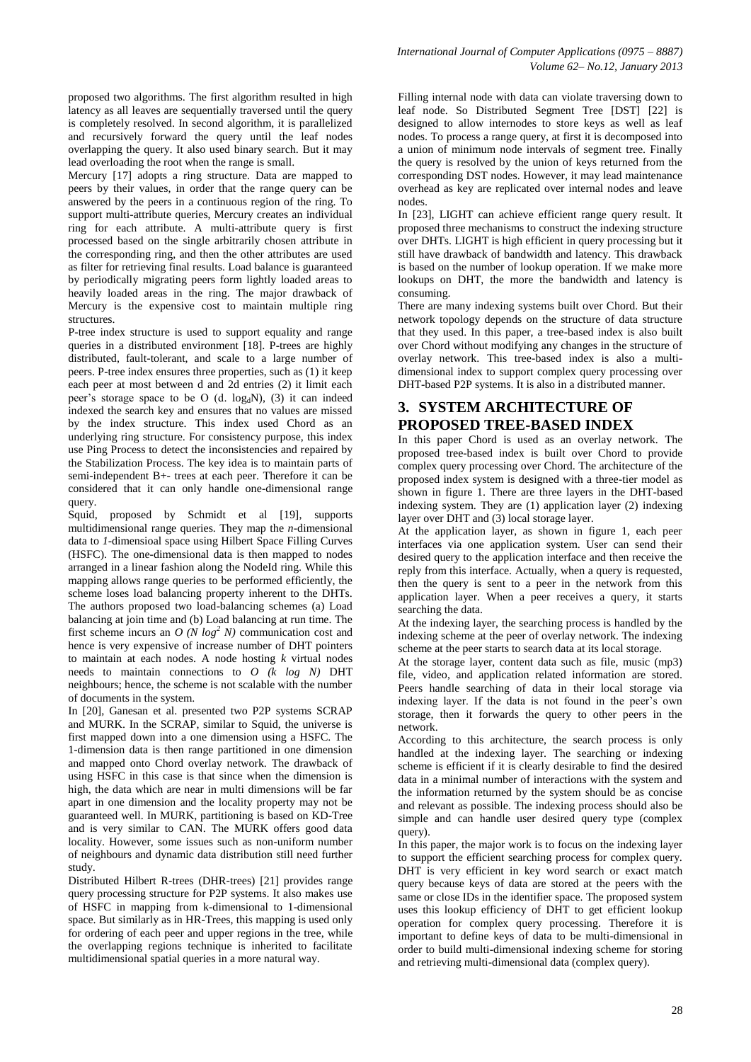proposed two algorithms. The first algorithm resulted in high latency as all leaves are sequentially traversed until the query is completely resolved. In second algorithm, it is parallelized and recursively forward the query until the leaf nodes overlapping the query. It also used binary search. But it may lead overloading the root when the range is small.

Mercury [17] adopts a ring structure. Data are mapped to peers by their values, in order that the range query can be answered by the peers in a continuous region of the ring. To support multi-attribute queries, Mercury creates an individual ring for each attribute. A multi-attribute query is first processed based on the single arbitrarily chosen attribute in the corresponding ring, and then the other attributes are used as filter for retrieving final results. Load balance is guaranteed by periodically migrating peers form lightly loaded areas to heavily loaded areas in the ring. The major drawback of Mercury is the expensive cost to maintain multiple ring structures.

P-tree index structure is used to support equality and range queries in a distributed environment [18]. P-trees are highly distributed, fault-tolerant, and scale to a large number of peers. P-tree index ensures three properties, such as (1) it keep each peer at most between d and 2d entries (2) it limit each peer's storage space to be O (d.  $log<sub>d</sub>N$ ), (3) it can indeed indexed the search key and ensures that no values are missed by the index structure. This index used Chord as an underlying ring structure. For consistency purpose, this index use Ping Process to detect the inconsistencies and repaired by the Stabilization Process. The key idea is to maintain parts of semi-independent B+- trees at each peer. Therefore it can be considered that it can only handle one-dimensional range query.

Squid, proposed by Schmidt et al [19], supports multidimensional range queries. They map the *n*-dimensional data to *1*-dimensioal space using Hilbert Space Filling Curves (HSFC). The one-dimensional data is then mapped to nodes arranged in a linear fashion along the NodeId ring. While this mapping allows range queries to be performed efficiently, the scheme loses load balancing property inherent to the DHTs. The authors proposed two load-balancing schemes (a) Load balancing at join time and (b) Load balancing at run time. The first scheme incurs an  $O(N \log^2 N)$  communication cost and hence is very expensive of increase number of DHT pointers to maintain at each nodes. A node hosting *k* virtual nodes needs to maintain connections to *O (k log N)* DHT neighbours; hence, the scheme is not scalable with the number of documents in the system.

In [20], Ganesan et al. presented two P2P systems SCRAP and MURK. In the SCRAP, similar to Squid, the universe is first mapped down into a one dimension using a HSFC. The 1-dimension data is then range partitioned in one dimension and mapped onto Chord overlay network. The drawback of using HSFC in this case is that since when the dimension is high, the data which are near in multi dimensions will be far apart in one dimension and the locality property may not be guaranteed well. In MURK, partitioning is based on KD-Tree and is very similar to CAN. The MURK offers good data locality. However, some issues such as non-uniform number of neighbours and dynamic data distribution still need further study.

Distributed Hilbert R-trees (DHR-trees) [21] provides range query processing structure for P2P systems. It also makes use of HSFC in mapping from k-dimensional to 1-dimensional space. But similarly as in HR-Trees, this mapping is used only for ordering of each peer and upper regions in the tree, while the overlapping regions technique is inherited to facilitate multidimensional spatial queries in a more natural way.

Filling internal node with data can violate traversing down to leaf node. So Distributed Segment Tree [DST] [22] is designed to allow internodes to store keys as well as leaf nodes. To process a range query, at first it is decomposed into a union of minimum node intervals of segment tree. Finally the query is resolved by the union of keys returned from the corresponding DST nodes. However, it may lead maintenance overhead as key are replicated over internal nodes and leave nodes.

In [23], LIGHT can achieve efficient range query result. It proposed three mechanisms to construct the indexing structure over DHTs. LIGHT is high efficient in query processing but it still have drawback of bandwidth and latency. This drawback is based on the number of lookup operation. If we make more lookups on DHT, the more the bandwidth and latency is consuming.

There are many indexing systems built over Chord. But their network topology depends on the structure of data structure that they used. In this paper, a tree-based index is also built over Chord without modifying any changes in the structure of overlay network. This tree-based index is also a multidimensional index to support complex query processing over DHT-based P2P systems. It is also in a distributed manner.

# **3. SYSTEM ARCHITECTURE OF PROPOSED TREE-BASED INDEX**

In this paper Chord is used as an overlay network. The proposed tree-based index is built over Chord to provide complex query processing over Chord. The architecture of the proposed index system is designed with a three-tier model as shown in figure 1. There are three layers in the DHT-based indexing system. They are (1) application layer (2) indexing layer over DHT and (3) local storage layer.

At the application layer, as shown in figure 1, each peer interfaces via one application system. User can send their desired query to the application interface and then receive the reply from this interface. Actually, when a query is requested, then the query is sent to a peer in the network from this application layer. When a peer receives a query, it starts searching the data.

At the indexing layer, the searching process is handled by the indexing scheme at the peer of overlay network. The indexing scheme at the peer starts to search data at its local storage.

At the storage layer, content data such as file, music (mp3) file, video, and application related information are stored. Peers handle searching of data in their local storage via indexing layer. If the data is not found in the peer's own storage, then it forwards the query to other peers in the network.

According to this architecture, the search process is only handled at the indexing layer. The searching or indexing scheme is efficient if it is clearly desirable to find the desired data in a minimal number of interactions with the system and the information returned by the system should be as concise and relevant as possible. The indexing process should also be simple and can handle user desired query type (complex query).

In this paper, the major work is to focus on the indexing layer to support the efficient searching process for complex query. DHT is very efficient in key word search or exact match query because keys of data are stored at the peers with the same or close IDs in the identifier space. The proposed system uses this lookup efficiency of DHT to get efficient lookup operation for complex query processing. Therefore it is important to define keys of data to be multi-dimensional in order to build multi-dimensional indexing scheme for storing and retrieving multi-dimensional data (complex query).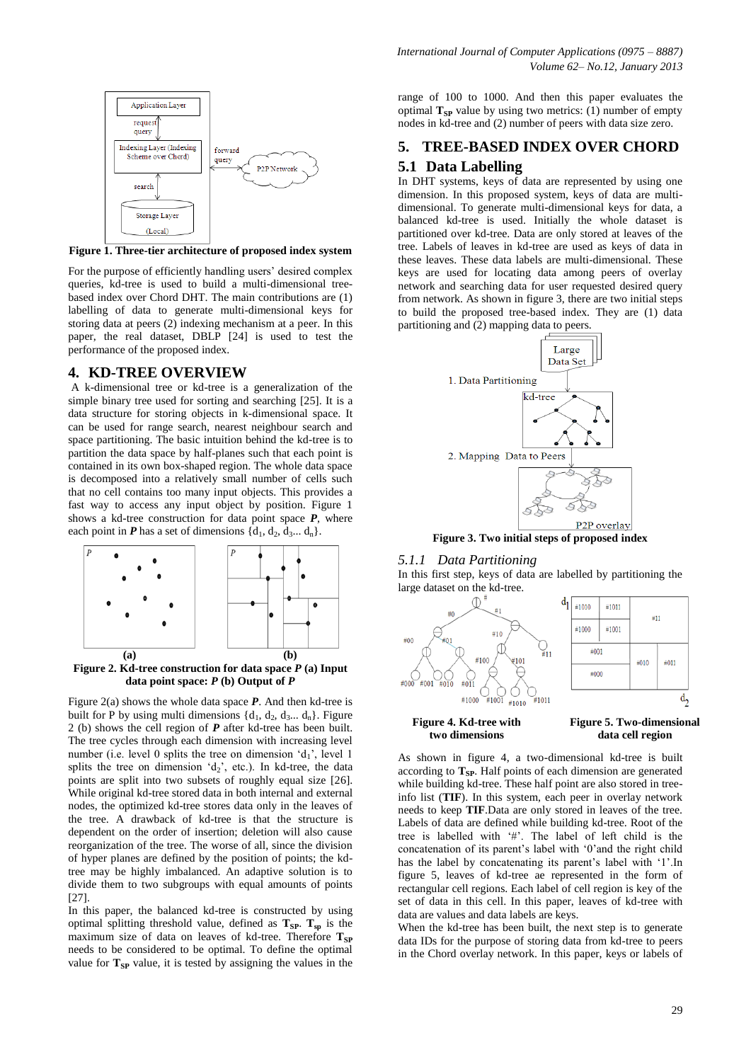

**Figure 1. Three-tier architecture of proposed index system**

For the purpose of efficiently handling users' desired complex queries, kd-tree is used to build a multi-dimensional treebased index over Chord DHT. The main contributions are (1) labelling of data to generate multi-dimensional keys for storing data at peers (2) indexing mechanism at a peer. In this paper, the real dataset, DBLP [24] is used to test the performance of the proposed index.

#### **4. KD-TREE OVERVIEW**

A k-dimensional tree or kd-tree is a generalization of the simple binary tree used for sorting and searching [25]. It is a data structure for storing objects in k-dimensional space. It can be used for range search, nearest neighbour search and space partitioning. The basic intuition behind the kd-tree is to partition the data space by half-planes such that each point is contained in its own box-shaped region. The whole data space is decomposed into a relatively small number of cells such that no cell contains too many input objects. This provides a fast way to access any input object by position. Figure 1 shows a kd-tree construction for data point space *P*, where each point in *P* has a set of dimensions  $\{d_1, d_2, d_3, \ldots, d_n\}$ .



**Figure 2. Kd-tree construction for data space** *P* **(a) Input data point space:** *P* **(b) Output of** *P*

Figure 2(a) shows the whole data space *P*. And then kd-tree is built for P by using multi dimensions  $\{d_1, d_2, d_3, \ldots, d_n\}$ . Figure 2 (b) shows the cell region of *P* after kd-tree has been built. The tree cycles through each dimension with increasing level number (i.e. level 0 splits the tree on dimension  $d_1$ , level 1 splits the tree on dimension  $d_2$ , etc.). In kd-tree, the data points are split into two subsets of roughly equal size [26]. While original kd-tree stored data in both internal and external nodes, the optimized kd-tree stores data only in the leaves of the tree. A drawback of kd-tree is that the structure is dependent on the order of insertion; deletion will also cause reorganization of the tree. The worse of all, since the division of hyper planes are defined by the position of points; the kdtree may be highly imbalanced. An adaptive solution is to divide them to two subgroups with equal amounts of points [27].

In this paper, the balanced kd-tree is constructed by using optimal splitting threshold value, defined as  $T_{SP}$ .  $T_{SP}$  is the maximum size of data on leaves of kd-tree. Therefore T<sub>SP</sub> needs to be considered to be optimal. To define the optimal value for  $T_{SP}$  value, it is tested by assigning the values in the

range of 100 to 1000. And then this paper evaluates the optimal  $T_{SP}$  value by using two metrics: (1) number of empty nodes in kd-tree and (2) number of peers with data size zero.

# **5. TREE-BASED INDEX OVER CHORD 5.1 Data Labelling**

In DHT systems, keys of data are represented by using one dimension. In this proposed system, keys of data are multidimensional. To generate multi-dimensional keys for data, a balanced kd-tree is used. Initially the whole dataset is partitioned over kd-tree. Data are only stored at leaves of the tree. Labels of leaves in kd-tree are used as keys of data in these leaves. These data labels are multi-dimensional. These keys are used for locating data among peers of overlay network and searching data for user requested desired query from network. As shown in figure 3, there are two initial steps to build the proposed tree-based index. They are (1) data partitioning and (2) mapping data to peers.



**Figure 3. Two initial steps of proposed index**

#### *5.1.1 Data Partitioning*

In this first step, keys of data are labelled by partitioning the large dataset on the kd-tree.



As shown in figure 4, a two-dimensional kd-tree is built according to **TSP**. Half points of each dimension are generated while building kd-tree. These half point are also stored in treeinfo list (**TIF**). In this system, each peer in overlay network needs to keep **TIF**.Data are only stored in leaves of the tree. Labels of data are defined while building kd-tree. Root of the tree is labelled with '#'. The label of left child is the concatenation of its parent's label with '0'and the right child has the label by concatenating its parent's label with '1'.In figure 5, leaves of kd-tree ae represented in the form of rectangular cell regions. Each label of cell region is key of the set of data in this cell. In this paper, leaves of kd-tree with data are values and data labels are keys.

When the kd-tree has been built, the next step is to generate data IDs for the purpose of storing data from kd-tree to peers in the Chord overlay network. In this paper, keys or labels of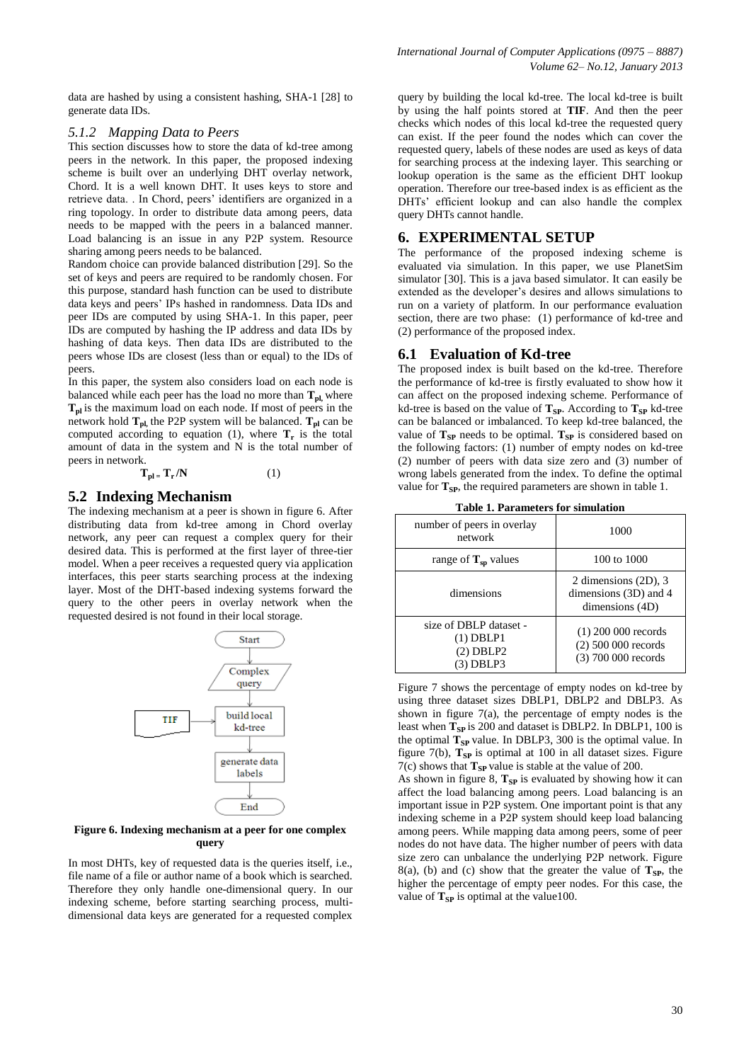data are hashed by using a consistent hashing, SHA-1 [28] to generate data IDs.

#### *5.1.2 Mapping Data to Peers*

This section discusses how to store the data of kd-tree among peers in the network. In this paper, the proposed indexing scheme is built over an underlying DHT overlay network, Chord. It is a well known DHT. It uses keys to store and retrieve data. . In Chord, peers' identifiers are organized in a ring topology. In order to distribute data among peers, data needs to be mapped with the peers in a balanced manner. Load balancing is an issue in any P2P system. Resource sharing among peers needs to be balanced.

Random choice can provide balanced distribution [29]. So the set of keys and peers are required to be randomly chosen. For this purpose, standard hash function can be used to distribute data keys and peers' IPs hashed in randomness. Data IDs and peer IDs are computed by using SHA-1. In this paper, peer IDs are computed by hashing the IP address and data IDs by hashing of data keys. Then data IDs are distributed to the peers whose IDs are closest (less than or equal) to the IDs of peers.

In this paper, the system also considers load on each node is balanced while each peer has the load no more than  $T_{\text{pl}}$ , where **Tpl** is the maximum load on each node. If most of peers in the network hold **Tpl,** the P2P system will be balanced. **Tpl** can be computed according to equation (1), where  $\mathbf{T}_r$  is the total amount of data in the system and N is the total number of peers in network.

$$
T_{pl} = T_r / N \tag{1}
$$

#### **5.2 Indexing Mechanism**

The indexing mechanism at a peer is shown in figure 6. After distributing data from kd-tree among in Chord overlay network, any peer can request a complex query for their desired data. This is performed at the first layer of three-tier model. When a peer receives a requested query via application interfaces, this peer starts searching process at the indexing layer. Most of the DHT-based indexing systems forward the query to the other peers in overlay network when the requested desired is not found in their local storage.



#### **Figure 6. Indexing mechanism at a peer for one complex query**

In most DHTs, key of requested data is the queries itself, i.e., file name of a file or author name of a book which is searched. Therefore they only handle one-dimensional query. In our indexing scheme, before starting searching process, multidimensional data keys are generated for a requested complex

query by building the local kd-tree. The local kd-tree is built by using the half points stored at **TIF**. And then the peer checks which nodes of this local kd-tree the requested query can exist. If the peer found the nodes which can cover the requested query, labels of these nodes are used as keys of data for searching process at the indexing layer. This searching or lookup operation is the same as the efficient DHT lookup operation. Therefore our tree-based index is as efficient as the DHTs' efficient lookup and can also handle the complex query DHTs cannot handle.

## **6. EXPERIMENTAL SETUP**

The performance of the proposed indexing scheme is evaluated via simulation. In this paper, we use PlanetSim simulator [30]. This is a java based simulator. It can easily be extended as the developer's desires and allows simulations to run on a variety of platform. In our performance evaluation section, there are two phase: (1) performance of kd-tree and (2) performance of the proposed index.

#### **6.1 Evaluation of Kd-tree**

The proposed index is built based on the kd-tree. Therefore the performance of kd-tree is firstly evaluated to show how it can affect on the proposed indexing scheme. Performance of kd-tree is based on the value of  $T_{SP}$ . According to  $T_{SP}$  kd-tree can be balanced or imbalanced. To keep kd-tree balanced, the value of  $T_{SP}$  needs to be optimal.  $T_{SP}$  is considered based on the following factors: (1) number of empty nodes on kd-tree (2) number of peers with data size zero and (3) number of wrong labels generated from the index. To define the optimal value for  $T_{SP}$ , the required parameters are shown in table 1.

| таол т. таганилгэ юг энцикион                                     |                                                                       |  |  |  |  |  |
|-------------------------------------------------------------------|-----------------------------------------------------------------------|--|--|--|--|--|
| number of peers in overlay<br>network                             | 1000                                                                  |  |  |  |  |  |
| range of $T_{sp}$ values                                          | 100 to 1000                                                           |  |  |  |  |  |
| dimensions                                                        | 2 dimensions (2D), 3<br>dimensions (3D) and 4<br>dimensions (4D)      |  |  |  |  |  |
| size of DBLP dataset -<br>$(1)$ DBLP1<br>$(2)$ DBLP2<br>(3) DBLP3 | $(1)$ 200 000 records<br>$(2)$ 500 000 records<br>(3) 700 000 records |  |  |  |  |  |

| <b>Table 1. Parameters for simulation</b> |  |
|-------------------------------------------|--|
|-------------------------------------------|--|

Figure 7 shows the percentage of empty nodes on kd-tree by using three dataset sizes DBLP1, DBLP2 and DBLP3. As shown in figure  $7(a)$ , the percentage of empty nodes is the least when  $T_{SP}$  is 200 and dataset is DBLP2. In DBLP1, 100 is the optimal  $T_{SP}$  value. In DBLP3, 300 is the optimal value. In figure  $7(b)$ ,  $T_{SP}$  is optimal at 100 in all dataset sizes. Figure  $7(c)$  shows that  $T_{SP}$  value is stable at the value of 200.

As shown in figure 8,  $T_{SP}$  is evaluated by showing how it can affect the load balancing among peers. Load balancing is an important issue in P2P system. One important point is that any indexing scheme in a P2P system should keep load balancing among peers. While mapping data among peers, some of peer nodes do not have data. The higher number of peers with data size zero can unbalance the underlying P2P network. Figure 8(a), (b) and (c) show that the greater the value of  $T_{SP}$ , the higher the percentage of empty peer nodes. For this case, the value of  $T_{SP}$  is optimal at the value100.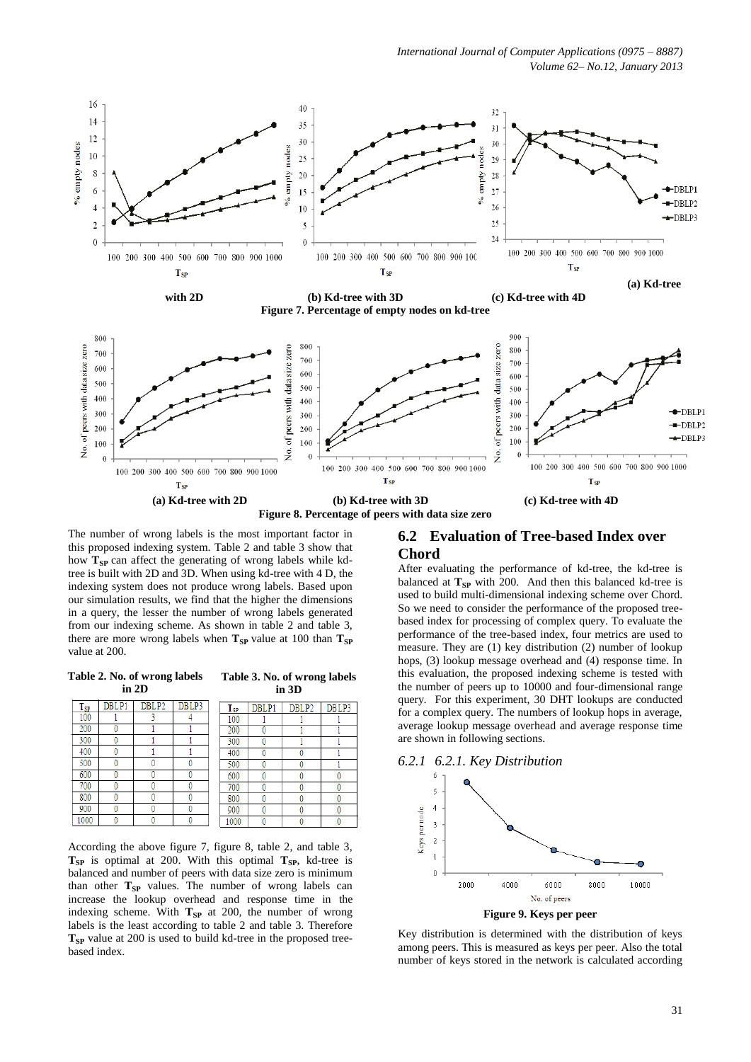*International Journal of Computer Applications (0975 – 8887) Volume 62– No.12, January 2013*



**with 2D (b) Kd-tree with 3D (c) Kd-tree with 4D Figure 7. Percentage of empty nodes on kd-tree**





The number of wrong labels is the most important factor in this proposed indexing system. Table 2 and table 3 show that how **T**<sub>SP</sub> can affect the generating of wrong labels while kdtree is built with 2D and 3D. When using kd-tree with 4 D, the indexing system does not produce wrong labels. Based upon our simulation results, we find that the higher the dimensions in a query, the lesser the number of wrong labels generated from our indexing scheme. As shown in table 2 and table 3, there are more wrong labels when  $T_{SP}$  value at 100 than  $T_{SP}$ value at 200.

#### **Table 2. No. of wrong labels in 2D**

#### **Table 3. No. of wrong labels in 3D**

| $\mathbf{T_{SP}}$ | DBLP1 | DBLP <sub>2</sub> | DBLP3 |  | $T_{SP}$ | DBLP1 | DBLP <sub>2</sub> | DBLP3 |  |
|-------------------|-------|-------------------|-------|--|----------|-------|-------------------|-------|--|
| 100               |       |                   |       |  | 100      |       |                   |       |  |
| 200               |       |                   |       |  | 200      |       |                   |       |  |
| 300               |       |                   |       |  | 300      |       |                   |       |  |
| 400               |       |                   |       |  | 400      |       |                   |       |  |
| 500               |       |                   |       |  | 500      |       |                   |       |  |
| 600               |       |                   |       |  | 600      |       |                   |       |  |
| 700               |       |                   |       |  | 700      |       |                   |       |  |
| 800               |       |                   |       |  | 800      |       |                   |       |  |
| 900               |       |                   |       |  | 900      |       |                   |       |  |
| 000               |       |                   |       |  | 1000     |       |                   |       |  |

According the above figure 7, figure 8, table 2, and table 3,  $T_{SP}$  is optimal at 200. With this optimal  $T_{SP}$ , kd-tree is balanced and number of peers with data size zero is minimum than other  $T_{SP}$  values. The number of wrong labels can increase the lookup overhead and response time in the indexing scheme. With  $T_{SP}$  at 200, the number of wrong labels is the least according to table 2 and table 3. Therefore  $T_{SP}$  value at 200 is used to build kd-tree in the proposed treebased index.

# **6.2 Evaluation of Tree-based Index over Chord**

After evaluating the performance of kd-tree, the kd-tree is balanced at  $T_{SP}$  with 200. And then this balanced kd-tree is used to build multi-dimensional indexing scheme over Chord. So we need to consider the performance of the proposed treebased index for processing of complex query. To evaluate the performance of the tree-based index, four metrics are used to measure. They are (1) key distribution (2) number of lookup hops, (3) lookup message overhead and (4) response time. In this evaluation, the proposed indexing scheme is tested with the number of peers up to 10000 and four-dimensional range query. For this experiment, 30 DHT lookups are conducted for a complex query. The numbers of lookup hops in average, average lookup message overhead and average response time are shown in following sections.





Key distribution is determined with the distribution of keys among peers. This is measured as keys per peer. Also the total number of keys stored in the network is calculated according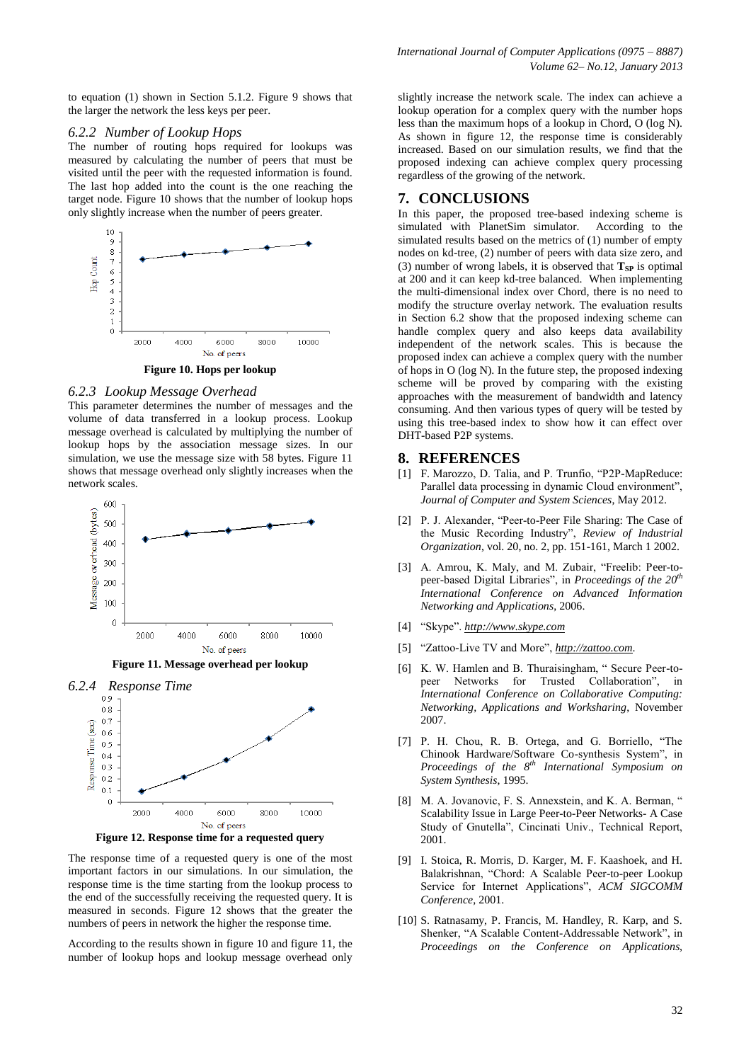#### *6.2.2 Number of Lookup Hops*

The number of routing hops required for lookups was measured by calculating the number of peers that must be visited until the peer with the requested information is found. The last hop added into the count is the one reaching the target node. Figure 10 shows that the number of lookup hops only slightly increase when the number of peers greater.



**Figure 10. Hops per lookup**

#### *6.2.3 Lookup Message Overhead*

This parameter determines the number of messages and the volume of data transferred in a lookup process. Lookup message overhead is calculated by multiplying the number of lookup hops by the association message sizes. In our simulation, we use the message size with 58 bytes. Figure 11 shows that message overhead only slightly increases when the network scales.



**Figure 11. Message overhead per lookup**



**Figure 12. Response time for a requested query**

The response time of a requested query is one of the most important factors in our simulations. In our simulation, the response time is the time starting from the lookup process to the end of the successfully receiving the requested query. It is measured in seconds. Figure 12 shows that the greater the numbers of peers in network the higher the response time.

According to the results shown in figure 10 and figure 11, the number of lookup hops and lookup message overhead only slightly increase the network scale. The index can achieve a lookup operation for a complex query with the number hops less than the maximum hops of a lookup in Chord, O (log N). As shown in figure 12, the response time is considerably increased. Based on our simulation results, we find that the proposed indexing can achieve complex query processing regardless of the growing of the network.

### **7. CONCLUSIONS**

In this paper, the proposed tree-based indexing scheme is simulated with PlanetSim simulator. According to the simulated results based on the metrics of (1) number of empty nodes on kd-tree, (2) number of peers with data size zero, and (3) number of wrong labels, it is observed that  $T_{SP}$  is optimal at 200 and it can keep kd-tree balanced. When implementing the multi-dimensional index over Chord, there is no need to modify the structure overlay network. The evaluation results in Section 6.2 show that the proposed indexing scheme can handle complex query and also keeps data availability independent of the network scales. This is because the proposed index can achieve a complex query with the number of hops in O (log N). In the future step, the proposed indexing scheme will be proved by comparing with the existing approaches with the measurement of bandwidth and latency consuming. And then various types of query will be tested by using this tree-based index to show how it can effect over DHT-based P2P systems.

#### **8. REFERENCES**

- [1] F. Marozzo, D. Talia, and P. Trunfio, "P2P-MapReduce: Parallel data processing in dynamic Cloud environment", *Journal of Computer and System Sciences*, May 2012.
- [2] P. J. Alexander, "Peer-to-Peer File Sharing: The Case of the Music Recording Industry", *Review of Industrial Organization*, vol. 20, no. 2, pp. 151-161, March 1 2002.
- [3] A. Amrou, K. Maly, and M. Zubair, "Freelib: Peer-topeer-based Digital Libraries", in *Proceedings of the 20th International Conference on Advanced Information Networking and Applications*, 2006.
- [4] "Skype". *[http://www.skype.com](http://www.skype.com/)*
- [5] "Zattoo-Live TV and More", *[http://zattoo.com](http://zattoo.com/)*.
- [6] K. W. Hamlen and B. Thuraisingham, " Secure Peer-topeer Networks for Trusted Collaboration", in *International Conference on Collaborative Computing: Networking, Applications and Worksharing*, November 2007.
- [7] P. H. Chou, R. B. Ortega, and G. Borriello, "The Chinook Hardware/Software Co-synthesis System", in *Proceedings of the 8th International Symposium on System Synthesis*, 1995.
- [8] M. A. Jovanovic, F. S. Annexstein, and K. A. Berman, " Scalability Issue in Large Peer-to-Peer Networks- A Case Study of Gnutella", Cincinati Univ., Technical Report, 2001.
- [9] I. Stoica, R. Morris, D. Karger, M. F. Kaashoek, and H. Balakrishnan, "Chord: A Scalable Peer-to-peer Lookup Service for Internet Applications", *ACM SIGCOMM Conference*, 2001.
- [10] S. Ratnasamy, P. Francis, M. Handley, R. Karp, and S. Shenker, "A Scalable Content-Addressable Network", in *Proceedings on the Conference on Applications,*